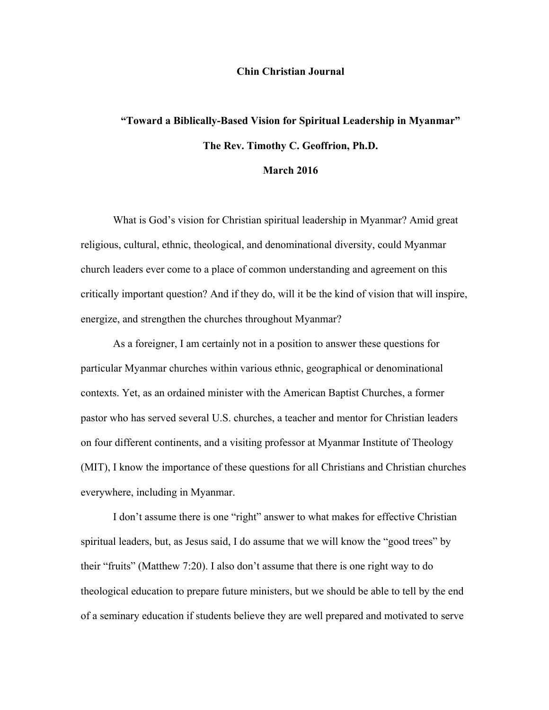#### **Chin Christian Journal**

# **"Toward a Biblically-Based Vision for Spiritual Leadership in Myanmar" The Rev. Timothy C. Geoffrion, Ph.D.**

## **March 2016**

What is God's vision for Christian spiritual leadership in Myanmar? Amid great religious, cultural, ethnic, theological, and denominational diversity, could Myanmar church leaders ever come to a place of common understanding and agreement on this critically important question? And if they do, will it be the kind of vision that will inspire, energize, and strengthen the churches throughout Myanmar?

As a foreigner, I am certainly not in a position to answer these questions for particular Myanmar churches within various ethnic, geographical or denominational contexts. Yet, as an ordained minister with the American Baptist Churches, a former pastor who has served several U.S. churches, a teacher and mentor for Christian leaders on four different continents, and a visiting professor at Myanmar Institute of Theology (MIT), I know the importance of these questions for all Christians and Christian churches everywhere, including in Myanmar.

I don't assume there is one "right" answer to what makes for effective Christian spiritual leaders, but, as Jesus said, I do assume that we will know the "good trees" by their "fruits" (Matthew 7:20). I also don't assume that there is one right way to do theological education to prepare future ministers, but we should be able to tell by the end of a seminary education if students believe they are well prepared and motivated to serve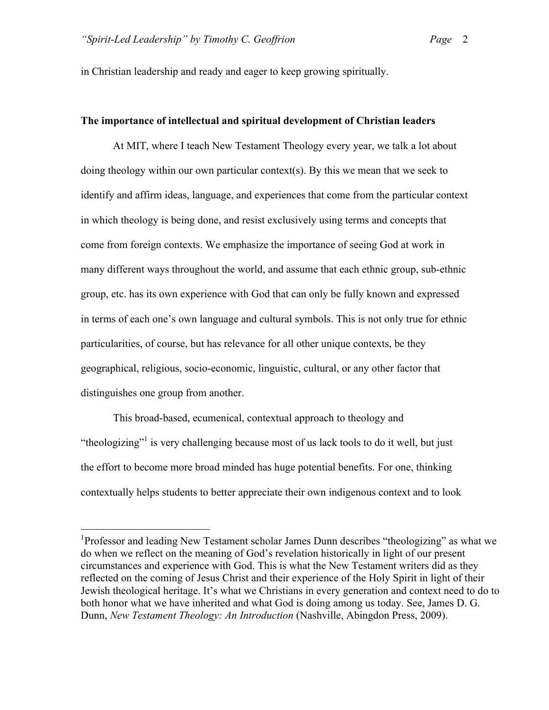in Christian leadership and ready and eager to keep growing spiritually.

## **The importance of intellectual and spiritual development of Christian leaders**

At MIT, where I teach New Testament Theology every year, we talk a lot about doing theology within our own particular context(s). By this we mean that we seek to identify and affirm ideas, language, and experiences that come from the particular context in which theology is being done, and resist exclusively using terms and concepts that come from foreign contexts. We emphasize the importance of seeing God at work in many different ways throughout the world, and assume that each ethnic group, sub-ethnic group, etc. has its own experience with God that can only be fully known and expressed in terms of each one's own language and cultural symbols. This is not only true for ethnic particularities, of course, but has relevance for all other unique contexts, be they geographical, religious, socio-economic, linguistic, cultural, or any other factor that distinguishes one group from another.

This broad-based, ecumenical, contextual approach to theology and "theologizing"<sup>1</sup> is very challenging because most of us lack tools to do it well, but just the effort to become more broad minded has huge potential benefits. For one, thinking contextually helps students to better appreciate their own indigenous context and to look

<sup>&</sup>lt;sup>1</sup>Professor and leading New Testament scholar James Dunn describes "theologizing" as what we do when we reflect on the meaning of God's revelation historically in light of our present circumstances and experience with God. This is what the New Testament writers did as they reflected on the coming of Jesus Christ and their experience of the Holy Spirit in light of their Jewish theological heritage. It's what we Christians in every generation and context need to do to both honor what we have inherited and what God is doing among us today. See, James D. G. Dunn, *New Testament Theology: An Introduction* (Nashville, Abingdon Press, 2009).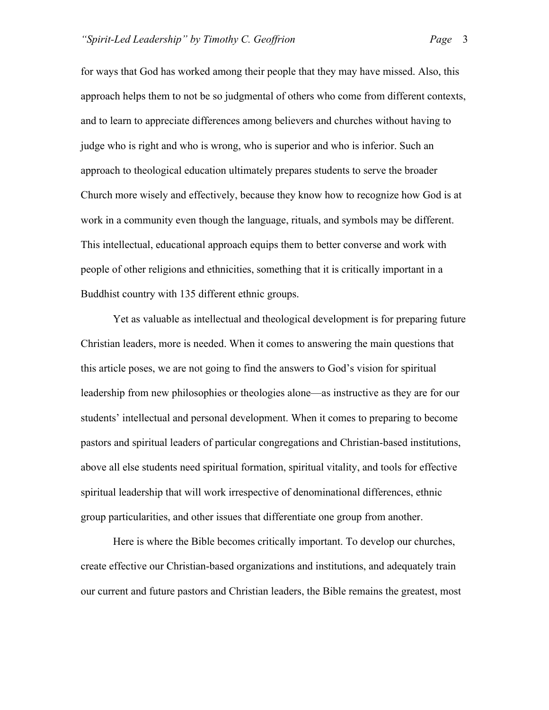for ways that God has worked among their people that they may have missed. Also, this approach helps them to not be so judgmental of others who come from different contexts, and to learn to appreciate differences among believers and churches without having to judge who is right and who is wrong, who is superior and who is inferior. Such an approach to theological education ultimately prepares students to serve the broader Church more wisely and effectively, because they know how to recognize how God is at work in a community even though the language, rituals, and symbols may be different. This intellectual, educational approach equips them to better converse and work with people of other religions and ethnicities, something that it is critically important in a Buddhist country with 135 different ethnic groups.

Yet as valuable as intellectual and theological development is for preparing future Christian leaders, more is needed. When it comes to answering the main questions that this article poses, we are not going to find the answers to God's vision for spiritual leadership from new philosophies or theologies alone—as instructive as they are for our students' intellectual and personal development. When it comes to preparing to become pastors and spiritual leaders of particular congregations and Christian-based institutions, above all else students need spiritual formation, spiritual vitality, and tools for effective spiritual leadership that will work irrespective of denominational differences, ethnic group particularities, and other issues that differentiate one group from another.

Here is where the Bible becomes critically important. To develop our churches, create effective our Christian-based organizations and institutions, and adequately train our current and future pastors and Christian leaders, the Bible remains the greatest, most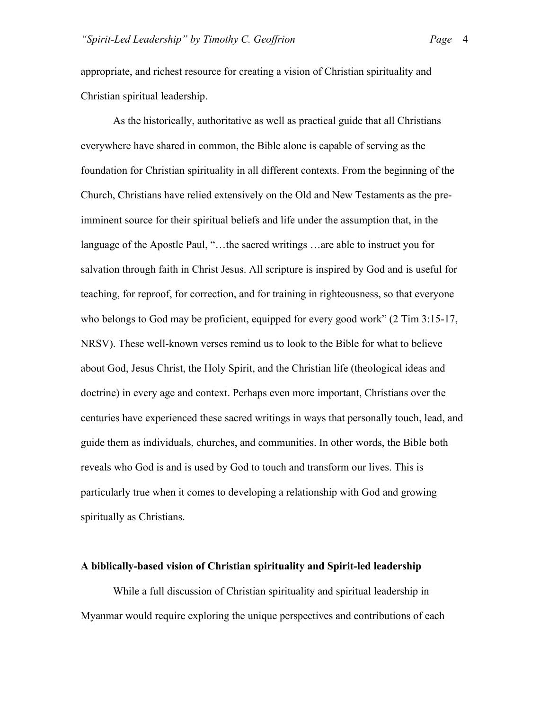appropriate, and richest resource for creating a vision of Christian spirituality and Christian spiritual leadership.

As the historically, authoritative as well as practical guide that all Christians everywhere have shared in common, the Bible alone is capable of serving as the foundation for Christian spirituality in all different contexts. From the beginning of the Church, Christians have relied extensively on the Old and New Testaments as the preimminent source for their spiritual beliefs and life under the assumption that, in the language of the Apostle Paul, "…the sacred writings …are able to instruct you for salvation through faith in Christ Jesus. All scripture is inspired by God and is useful for teaching, for reproof, for correction, and for training in righteousness, so that everyone who belongs to God may be proficient, equipped for every good work" (2 Tim 3:15-17, NRSV). These well-known verses remind us to look to the Bible for what to believe about God, Jesus Christ, the Holy Spirit, and the Christian life (theological ideas and doctrine) in every age and context. Perhaps even more important, Christians over the centuries have experienced these sacred writings in ways that personally touch, lead, and guide them as individuals, churches, and communities. In other words, the Bible both reveals who God is and is used by God to touch and transform our lives. This is particularly true when it comes to developing a relationship with God and growing spiritually as Christians.

#### **A biblically-based vision of Christian spirituality and Spirit-led leadership**

While a full discussion of Christian spirituality and spiritual leadership in Myanmar would require exploring the unique perspectives and contributions of each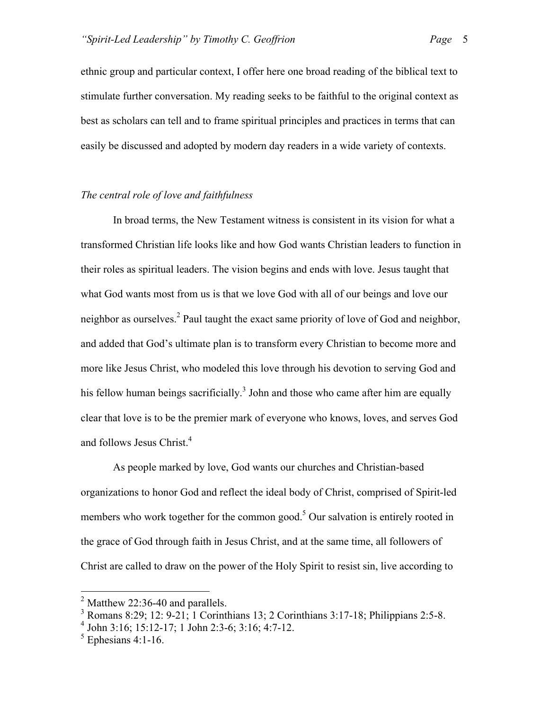ethnic group and particular context, I offer here one broad reading of the biblical text to stimulate further conversation. My reading seeks to be faithful to the original context as best as scholars can tell and to frame spiritual principles and practices in terms that can easily be discussed and adopted by modern day readers in a wide variety of contexts.

# *The central role of love and faithfulness*

In broad terms, the New Testament witness is consistent in its vision for what a transformed Christian life looks like and how God wants Christian leaders to function in their roles as spiritual leaders. The vision begins and ends with love. Jesus taught that what God wants most from us is that we love God with all of our beings and love our neighbor as ourselves.<sup>2</sup> Paul taught the exact same priority of love of God and neighbor, and added that God's ultimate plan is to transform every Christian to become more and more like Jesus Christ, who modeled this love through his devotion to serving God and his fellow human beings sacrificially.<sup>3</sup> John and those who came after him are equally clear that love is to be the premier mark of everyone who knows, loves, and serves God and follows Jesus Christ.<sup>4</sup>

As people marked by love, God wants our churches and Christian-based organizations to honor God and reflect the ideal body of Christ, comprised of Spirit-led members who work together for the common good.<sup>5</sup> Our salvation is entirely rooted in the grace of God through faith in Jesus Christ, and at the same time, all followers of Christ are called to draw on the power of the Holy Spirit to resist sin, live according to

 $<sup>2</sup>$  Matthew 22:36-40 and parallels.</sup>

 $3$  Romans 8:29; 12: 9-21; 1 Corinthians 13; 2 Corinthians 3:17-18; Philippians 2:5-8.

<sup>4</sup> John 3:16; 15:12-17; 1 John 2:3-6; 3:16; 4:7-12.

 $<sup>5</sup>$  Ephesians 4:1-16.</sup>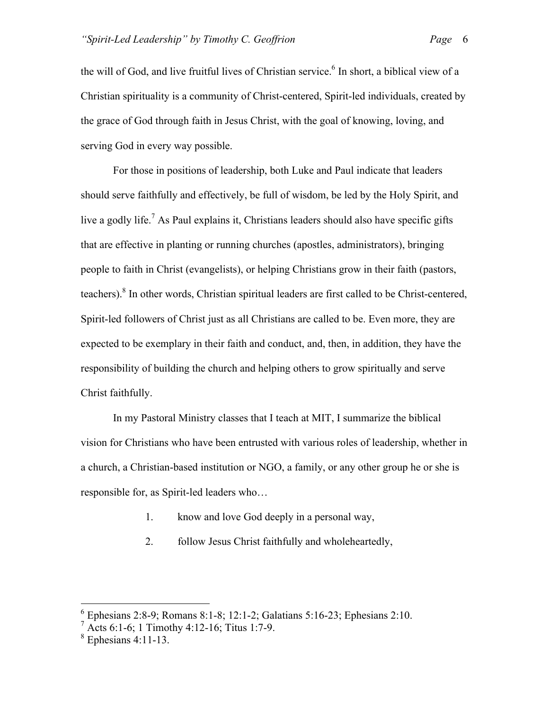the will of God, and live fruitful lives of Christian service.<sup>6</sup> In short, a biblical view of a Christian spirituality is a community of Christ-centered, Spirit-led individuals, created by the grace of God through faith in Jesus Christ, with the goal of knowing, loving, and serving God in every way possible.

For those in positions of leadership, both Luke and Paul indicate that leaders should serve faithfully and effectively, be full of wisdom, be led by the Holy Spirit, and live a godly life.<sup>7</sup> As Paul explains it, Christians leaders should also have specific gifts that are effective in planting or running churches (apostles, administrators), bringing people to faith in Christ (evangelists), or helping Christians grow in their faith (pastors, teachers). <sup>8</sup> In other words, Christian spiritual leaders are first called to be Christ-centered, Spirit-led followers of Christ just as all Christians are called to be. Even more, they are expected to be exemplary in their faith and conduct, and, then, in addition, they have the responsibility of building the church and helping others to grow spiritually and serve Christ faithfully.

In my Pastoral Ministry classes that I teach at MIT, I summarize the biblical vision for Christians who have been entrusted with various roles of leadership, whether in a church, a Christian-based institution or NGO, a family, or any other group he or she is responsible for, as Spirit-led leaders who…

- 1. know and love God deeply in a personal way,
- 2. follow Jesus Christ faithfully and wholeheartedly,

 $6$  Ephesians 2:8-9; Romans 8:1-8; 12:1-2; Galatians 5:16-23; Ephesians 2:10.

 $\frac{7}{1}$  Acts 6:1-6; 1 Timothy 4:12-16; Titus 1:7-9.

 $8$  Ephesians 4:11-13.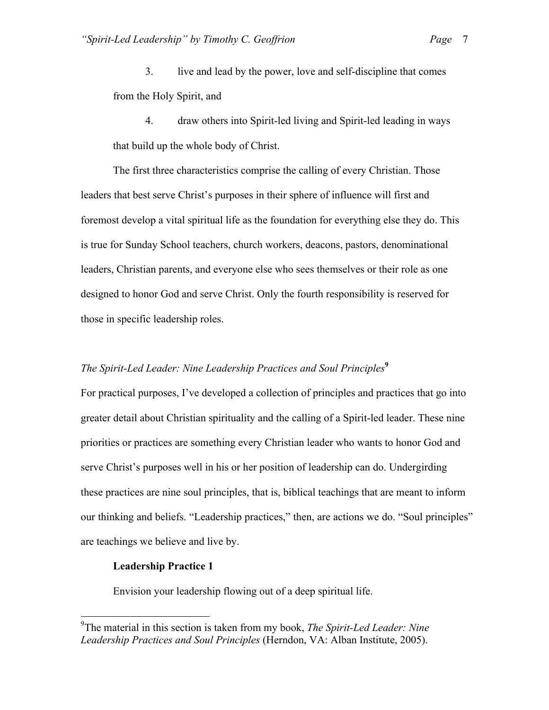3. live and lead by the power, love and self-discipline that comes from the Holy Spirit, and

4. draw others into Spirit-led living and Spirit-led leading in ways that build up the whole body of Christ.

The first three characteristics comprise the calling of every Christian. Those leaders that best serve Christ's purposes in their sphere of influence will first and foremost develop a vital spiritual life as the foundation for everything else they do. This is true for Sunday School teachers, church workers, deacons, pastors, denominational leaders, Christian parents, and everyone else who sees themselves or their role as one designed to honor God and serve Christ. Only the fourth responsibility is reserved for those in specific leadership roles.

# *The Spirit-Led Leader: Nine Leadership Practices and Soul Principles***<sup>9</sup>**

For practical purposes, I've developed a collection of principles and practices that go into greater detail about Christian spirituality and the calling of a Spirit-led leader. These nine priorities or practices are something every Christian leader who wants to honor God and serve Christ's purposes well in his or her position of leadership can do. Undergirding these practices are nine soul principles, that is, biblical teachings that are meant to inform our thinking and beliefs. "Leadership practices," then, are actions we do. "Soul principles" are teachings we believe and live by.

#### **Leadership Practice 1**

Envision your leadership flowing out of a deep spiritual life.

 <sup>9</sup> The material in this section is taken from my book, *The Spirit-Led Leader: Nine Leadership Practices and Soul Principles* (Herndon, VA: Alban Institute, 2005).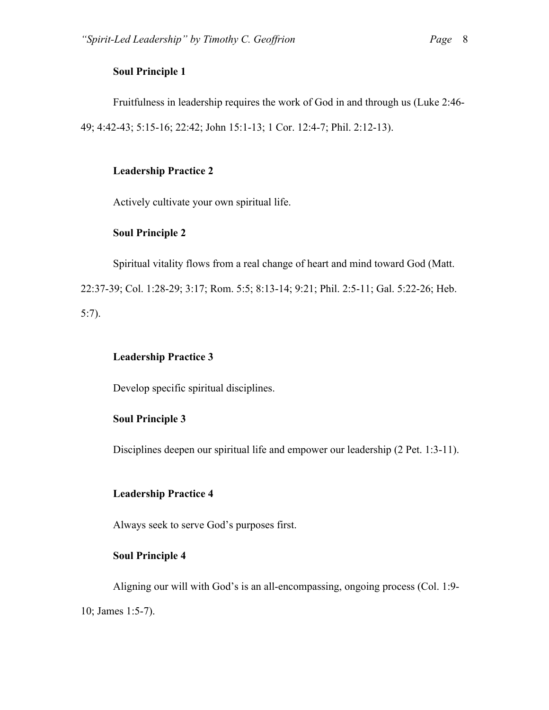## **Soul Principle 1**

Fruitfulness in leadership requires the work of God in and through us (Luke 2:46- 49; 4:42-43; 5:15-16; 22:42; John 15:1-13; 1 Cor. 12:4-7; Phil. 2:12-13).

# **Leadership Practice 2**

Actively cultivate your own spiritual life.

# **Soul Principle 2**

Spiritual vitality flows from a real change of heart and mind toward God (Matt. 22:37-39; Col. 1:28-29; 3:17; Rom. 5:5; 8:13-14; 9:21; Phil. 2:5-11; Gal. 5:22-26; Heb. 5:7).

# **Leadership Practice 3**

Develop specific spiritual disciplines.

# **Soul Principle 3**

Disciplines deepen our spiritual life and empower our leadership (2 Pet. 1:3-11).

# **Leadership Practice 4**

Always seek to serve God's purposes first.

## **Soul Principle 4**

Aligning our will with God's is an all-encompassing, ongoing process (Col. 1:9- 10; James 1:5-7).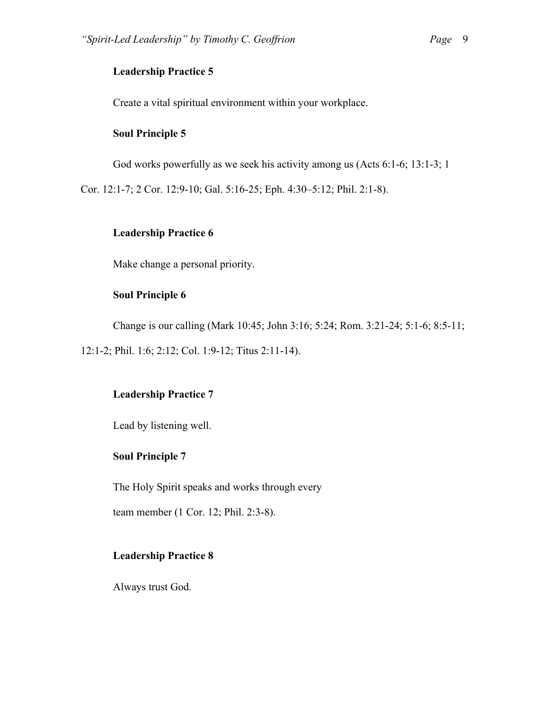# **Leadership Practice 5**

Create a vital spiritual environment within your workplace.

## **Soul Principle 5**

God works powerfully as we seek his activity among us (Acts 6:1-6; 13:1-3; 1

Cor. 12:1-7; 2 Cor. 12:9-10; Gal. 5:16-25; Eph. 4:30–5:12; Phil. 2:1-8).

## **Leadership Practice 6**

Make change a personal priority.

# **Soul Principle 6**

Change is our calling (Mark 10:45; John 3:16; 5:24; Rom. 3:21-24; 5:1-6; 8:5-11;

12:1-2; Phil. 1:6; 2:12; Col. 1:9-12; Titus 2:11-14).

# **Leadership Practice 7**

Lead by listening well.

# **Soul Principle 7**

The Holy Spirit speaks and works through every

team member (1 Cor. 12; Phil. 2:3-8).

## **Leadership Practice 8**

Always trust God.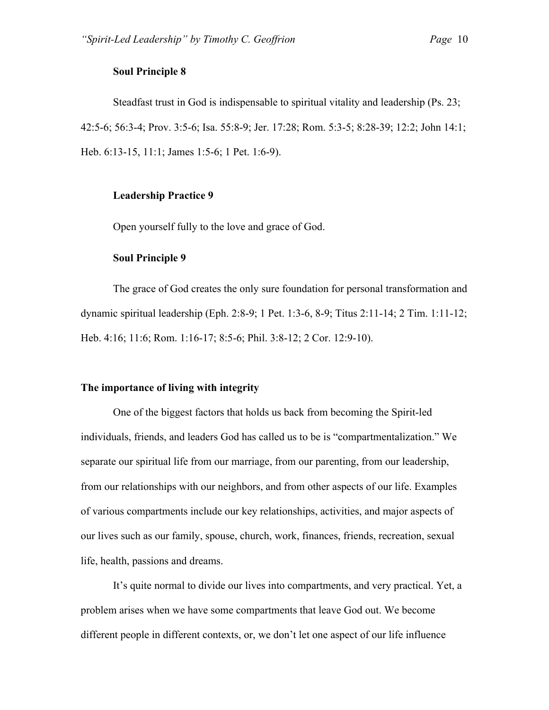#### **Soul Principle 8**

Steadfast trust in God is indispensable to spiritual vitality and leadership (Ps. 23; 42:5-6; 56:3-4; Prov. 3:5-6; Isa. 55:8-9; Jer. 17:28; Rom. 5:3-5; 8:28-39; 12:2; John 14:1; Heb. 6:13-15, 11:1; James 1:5-6; 1 Pet. 1:6-9).

#### **Leadership Practice 9**

Open yourself fully to the love and grace of God.

## **Soul Principle 9**

The grace of God creates the only sure foundation for personal transformation and dynamic spiritual leadership (Eph. 2:8-9; 1 Pet. 1:3-6, 8-9; Titus 2:11-14; 2 Tim. 1:11-12; Heb. 4:16; 11:6; Rom. 1:16-17; 8:5-6; Phil. 3:8-12; 2 Cor. 12:9-10).

# **The importance of living with integrity**

One of the biggest factors that holds us back from becoming the Spirit-led individuals, friends, and leaders God has called us to be is "compartmentalization." We separate our spiritual life from our marriage, from our parenting, from our leadership, from our relationships with our neighbors, and from other aspects of our life. Examples of various compartments include our key relationships, activities, and major aspects of our lives such as our family, spouse, church, work, finances, friends, recreation, sexual life, health, passions and dreams.

It's quite normal to divide our lives into compartments, and very practical. Yet, a problem arises when we have some compartments that leave God out. We become different people in different contexts, or, we don't let one aspect of our life influence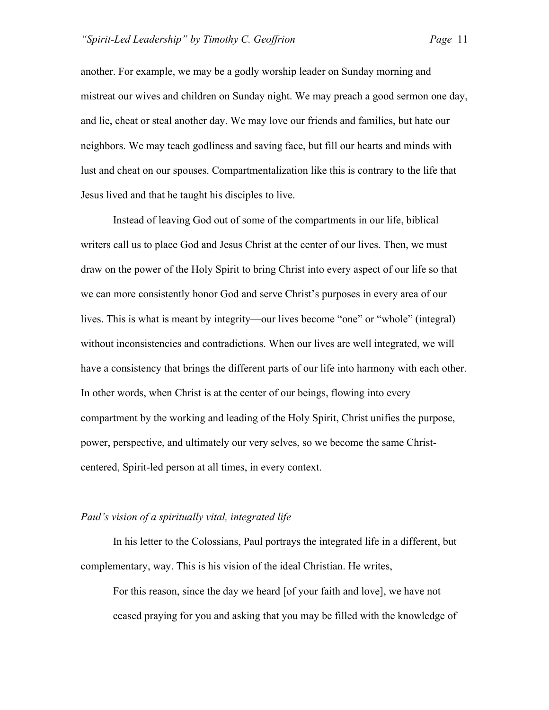another. For example, we may be a godly worship leader on Sunday morning and mistreat our wives and children on Sunday night. We may preach a good sermon one day, and lie, cheat or steal another day. We may love our friends and families, but hate our neighbors. We may teach godliness and saving face, but fill our hearts and minds with lust and cheat on our spouses. Compartmentalization like this is contrary to the life that Jesus lived and that he taught his disciples to live.

Instead of leaving God out of some of the compartments in our life, biblical writers call us to place God and Jesus Christ at the center of our lives. Then, we must draw on the power of the Holy Spirit to bring Christ into every aspect of our life so that we can more consistently honor God and serve Christ's purposes in every area of our lives. This is what is meant by integrity—our lives become "one" or "whole" (integral) without inconsistencies and contradictions. When our lives are well integrated, we will have a consistency that brings the different parts of our life into harmony with each other. In other words, when Christ is at the center of our beings, flowing into every compartment by the working and leading of the Holy Spirit, Christ unifies the purpose, power, perspective, and ultimately our very selves, so we become the same Christcentered, Spirit-led person at all times, in every context.

#### *Paul's vision of a spiritually vital, integrated life*

In his letter to the Colossians, Paul portrays the integrated life in a different, but complementary, way. This is his vision of the ideal Christian. He writes,

For this reason, since the day we heard [of your faith and love], we have not ceased praying for you and asking that you may be filled with the knowledge of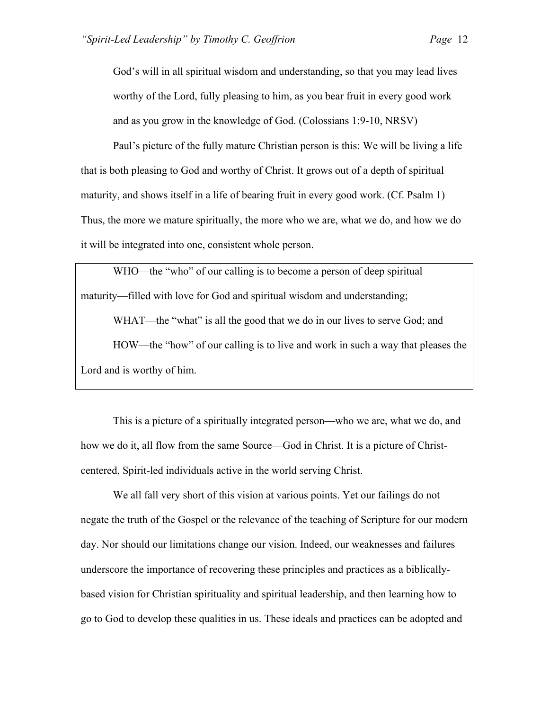God's will in all spiritual wisdom and understanding, so that you may lead lives worthy of the Lord, fully pleasing to him, as you bear fruit in every good work and as you grow in the knowledge of God. (Colossians 1:9-10, NRSV)

Paul's picture of the fully mature Christian person is this: We will be living a life that is both pleasing to God and worthy of Christ. It grows out of a depth of spiritual maturity, and shows itself in a life of bearing fruit in every good work. (Cf. Psalm 1) Thus, the more we mature spiritually, the more who we are, what we do, and how we do it will be integrated into one, consistent whole person.

WHO—the "who" of our calling is to become a person of deep spiritual maturity—filled with love for God and spiritual wisdom and understanding;

WHAT—the "what" is all the good that we do in our lives to serve God; and HOW—the "how" of our calling is to live and work in such a way that pleases the Lord and is worthy of him.

This is a picture of a spiritually integrated person—who we are, what we do, and how we do it, all flow from the same Source—God in Christ. It is a picture of Christcentered, Spirit-led individuals active in the world serving Christ.

We all fall very short of this vision at various points. Yet our failings do not negate the truth of the Gospel or the relevance of the teaching of Scripture for our modern day. Nor should our limitations change our vision. Indeed, our weaknesses and failures underscore the importance of recovering these principles and practices as a biblicallybased vision for Christian spirituality and spiritual leadership, and then learning how to go to God to develop these qualities in us. These ideals and practices can be adopted and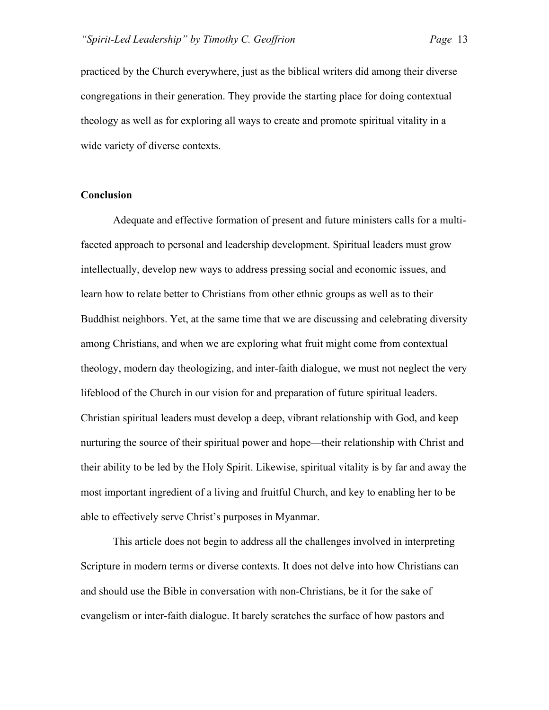practiced by the Church everywhere, just as the biblical writers did among their diverse congregations in their generation. They provide the starting place for doing contextual theology as well as for exploring all ways to create and promote spiritual vitality in a wide variety of diverse contexts.

#### **Conclusion**

Adequate and effective formation of present and future ministers calls for a multifaceted approach to personal and leadership development. Spiritual leaders must grow intellectually, develop new ways to address pressing social and economic issues, and learn how to relate better to Christians from other ethnic groups as well as to their Buddhist neighbors. Yet, at the same time that we are discussing and celebrating diversity among Christians, and when we are exploring what fruit might come from contextual theology, modern day theologizing, and inter-faith dialogue, we must not neglect the very lifeblood of the Church in our vision for and preparation of future spiritual leaders. Christian spiritual leaders must develop a deep, vibrant relationship with God, and keep nurturing the source of their spiritual power and hope—their relationship with Christ and their ability to be led by the Holy Spirit. Likewise, spiritual vitality is by far and away the most important ingredient of a living and fruitful Church, and key to enabling her to be able to effectively serve Christ's purposes in Myanmar.

This article does not begin to address all the challenges involved in interpreting Scripture in modern terms or diverse contexts. It does not delve into how Christians can and should use the Bible in conversation with non-Christians, be it for the sake of evangelism or inter-faith dialogue. It barely scratches the surface of how pastors and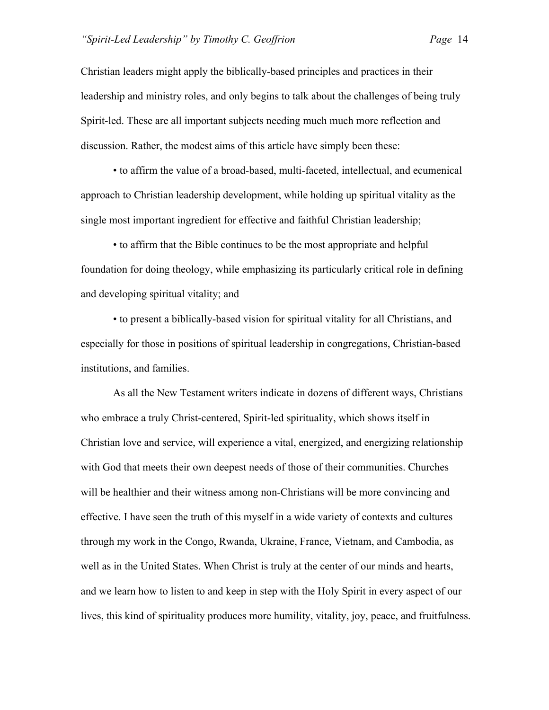Christian leaders might apply the biblically-based principles and practices in their leadership and ministry roles, and only begins to talk about the challenges of being truly Spirit-led. These are all important subjects needing much much more reflection and discussion. Rather, the modest aims of this article have simply been these:

• to affirm the value of a broad-based, multi-faceted, intellectual, and ecumenical approach to Christian leadership development, while holding up spiritual vitality as the single most important ingredient for effective and faithful Christian leadership;

• to affirm that the Bible continues to be the most appropriate and helpful foundation for doing theology, while emphasizing its particularly critical role in defining and developing spiritual vitality; and

• to present a biblically-based vision for spiritual vitality for all Christians, and especially for those in positions of spiritual leadership in congregations, Christian-based institutions, and families.

As all the New Testament writers indicate in dozens of different ways, Christians who embrace a truly Christ-centered, Spirit-led spirituality, which shows itself in Christian love and service, will experience a vital, energized, and energizing relationship with God that meets their own deepest needs of those of their communities. Churches will be healthier and their witness among non-Christians will be more convincing and effective. I have seen the truth of this myself in a wide variety of contexts and cultures through my work in the Congo, Rwanda, Ukraine, France, Vietnam, and Cambodia, as well as in the United States. When Christ is truly at the center of our minds and hearts, and we learn how to listen to and keep in step with the Holy Spirit in every aspect of our lives, this kind of spirituality produces more humility, vitality, joy, peace, and fruitfulness.